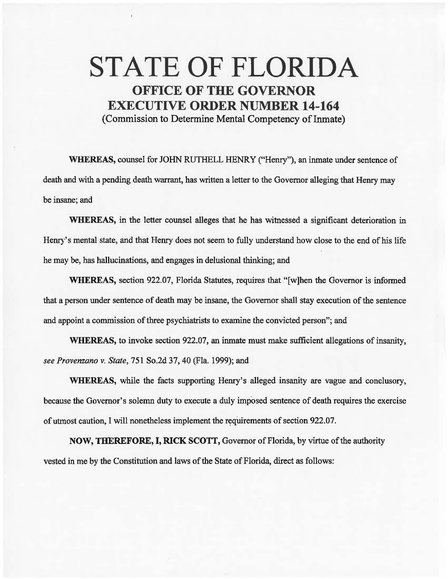## STATE OF FLORIDA OFFICE OF THE GOVERNOR EXECUTIVE ORDER NUMBER.14-164

(Commission to Determine Mental Competency of Inmate)

WHEREAS, counsel for JOHN RUTHELL HENRY ("Henry"), an inmate under sentence of death and with a pending death warrant, has written a letter to the Governor alleging that Henry may be insane; and

WHEREAS, in the letter counsel alleges that he has witnessed a significant deterioration in Henry's mental state, and that Henry does not seem to fully understand how close to the end of his life he may be, has hallucinations, and engages in delusional thinking; and

WHEREAS, section 922.07, Florida Statutes, requires that "[w]hen the Governor is informed that a person under sentence of death may be insane, the Governor shall stay execution of the sentence and appoint a commission of three psychiatrists to examine the convicted person"; and

WHEREAS, to invoke section 922.07, an inmate must make sufficient allegations of insanity, *see Provenzano* v. *State,* 751 So.2d 37, 40 (Fla. 1999); and

WHEREAS, while the facts supporting Henry's alleged insanity are vague and conclusory, because the Governor's solemn duty to execute a duly imposed sentence of death requires the exercise of utmost caution, I will nonetheless implement the requirements of section 922.07.

NOW, THEREFORE, I, RICK SCOTT, Governor of Florida, by virtue of the authority vested in me by the Constitution and laws of the State of Florida, direct as follows: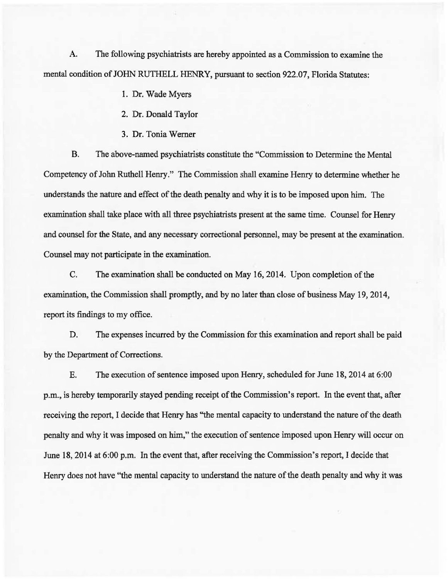A. The following psychiatrists are hereby appointed as a Commission to examine the mental condition of JOHN RUTHELL HENRY, pursuant to section 922.07, Florida Statutes:

- 1. Dr. Wade Myers
- 2. Dr. Donald Taylor
- 3. Dr. Tonia Werner

B. The above-named psychiatrists constitute the "Commission to Determine the Mental Competency of John Ruthell Henry." The Commission shall examine Henry to determine whether he understands the nature and effect of the death penalty and why it is to be imposed upon him. The examination shall take place with all three psychiatrists present at the same time. Counsel for Henry and counsel for the State, and any necessary correctional personnel, may be present at the examination. Counsel may not participate in the examination.

C. The examination shall be conducted on May 16, 2014. Upon completion of the examination, the Commission shall promptly, and by no later than close of business May 19, 2014, report its findings to my office.

D. The expenses incurred by the Commission for this examination and report shall be paid by the Department of Corrections.

E. The execution of sentence imposed upon Henry, scheduled for June 18, 2014 at 6:00 p.m., is hereby temporarily stayed pending receipt of the Commission's report. In the event that, after receiving the report, I decide that Henry has ''the mental capacity to understand the nature of the death penalty and why it was imposed on him," the execution of sentence imposed upon Henry will occur on June 18, 2014 at 6:00 p.m. In the event that, after receiving the Commission's report, I decide that Henry does not have "the mental capacity to understand the nature of the death penalty and why it was